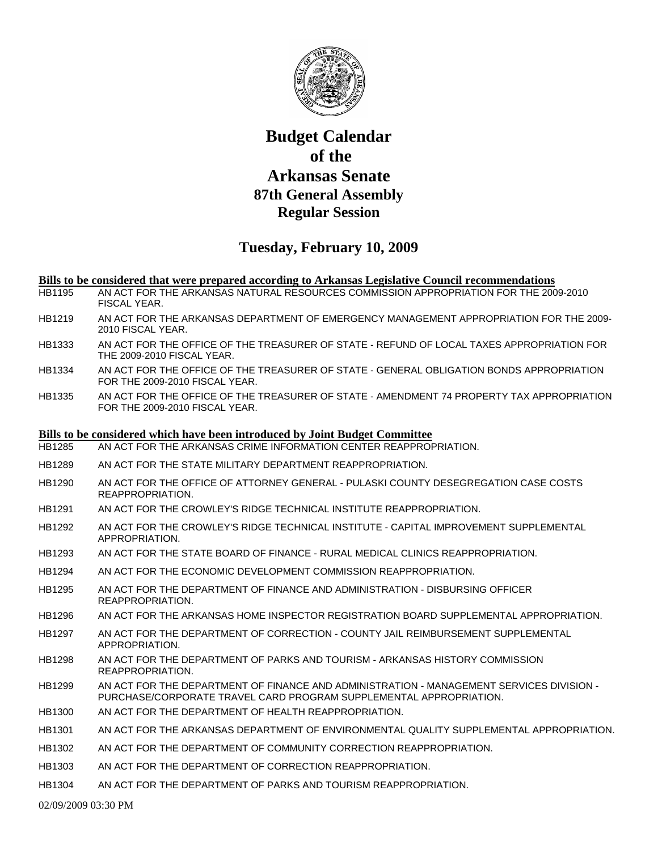

## **Budget Calendar of the Arkansas Senate 87th General Assembly Regular Session**

## **Tuesday, February 10, 2009**

## **Bills to be considered that were prepared according to Arkansas Legislative Council recommendations**

- HB1195 AN ACT FOR THE ARKANSAS NATURAL RESOURCES COMMISSION APPROPRIATION FOR THE 2009-2010 FISCAL YEAR.
- HB1219 AN ACT FOR THE ARKANSAS DEPARTMENT OF EMERGENCY MANAGEMENT APPROPRIATION FOR THE 2009- 2010 FISCAL YEAR.
- HB1333 AN ACT FOR THE OFFICE OF THE TREASURER OF STATE REFUND OF LOCAL TAXES APPROPRIATION FOR THE 2009-2010 FISCAL YEAR.
- HB1334 AN ACT FOR THE OFFICE OF THE TREASURER OF STATE GENERAL OBLIGATION BONDS APPROPRIATION FOR THE 2009-2010 FISCAL YEAR.
- HB1335 AN ACT FOR THE OFFICE OF THE TREASURER OF STATE AMENDMENT 74 PROPERTY TAX APPROPRIATION FOR THE 2009-2010 FISCAL YEAR.

## **Bills to be considered which have been introduced by Joint Budget Committee**

- HB1285 AN ACT FOR THE ARKANSAS CRIME INFORMATION CENTER REAPPROPRIATION.
- HB1289 AN ACT FOR THE STATE MILITARY DEPARTMENT REAPPROPRIATION.
- HB1290 AN ACT FOR THE OFFICE OF ATTORNEY GENERAL PULASKI COUNTY DESEGREGATION CASE COSTS REAPPROPRIATION.
- HB1291 AN ACT FOR THE CROWLEY'S RIDGE TECHNICAL INSTITUTE REAPPROPRIATION.
- HB1292 AN ACT FOR THE CROWLEY'S RIDGE TECHNICAL INSTITUTE CAPITAL IMPROVEMENT SUPPLEMENTAL APPROPRIATION.
- HB1293 AN ACT FOR THE STATE BOARD OF FINANCE RURAL MEDICAL CLINICS REAPPROPRIATION.
- HB1294 AN ACT FOR THE ECONOMIC DEVELOPMENT COMMISSION REAPPROPRIATION.
- HB1295 AN ACT FOR THE DEPARTMENT OF FINANCE AND ADMINISTRATION DISBURSING OFFICER REAPPROPRIATION.
- HB1296 AN ACT FOR THE ARKANSAS HOME INSPECTOR REGISTRATION BOARD SUPPLEMENTAL APPROPRIATION.
- HB1297 AN ACT FOR THE DEPARTMENT OF CORRECTION COUNTY JAIL REIMBURSEMENT SUPPLEMENTAL APPROPRIATION.
- HB1298 AN ACT FOR THE DEPARTMENT OF PARKS AND TOURISM ARKANSAS HISTORY COMMISSION REAPPROPRIATION.
- HB1299 AN ACT FOR THE DEPARTMENT OF FINANCE AND ADMINISTRATION MANAGEMENT SERVICES DIVISION PURCHASE/CORPORATE TRAVEL CARD PROGRAM SUPPLEMENTAL APPROPRIATION.
- HB1300 AN ACT FOR THE DEPARTMENT OF HEALTH REAPPROPRIATION.
- HB1301 AN ACT FOR THE ARKANSAS DEPARTMENT OF ENVIRONMENTAL QUALITY SUPPLEMENTAL APPROPRIATION.
- HB1302 AN ACT FOR THE DEPARTMENT OF COMMUNITY CORRECTION REAPPROPRIATION.
- HB1303 AN ACT FOR THE DEPARTMENT OF CORRECTION REAPPROPRIATION.
- HB1304 AN ACT FOR THE DEPARTMENT OF PARKS AND TOURISM REAPPROPRIATION.

02/09/2009 03:30 PM